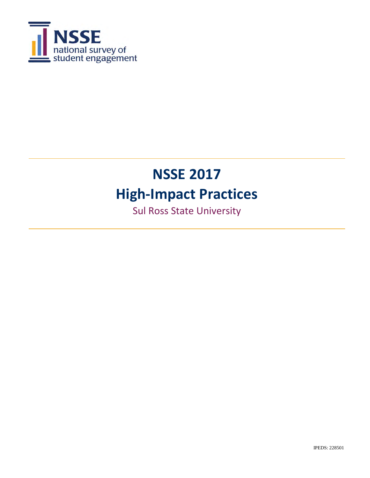

Sul Ross State University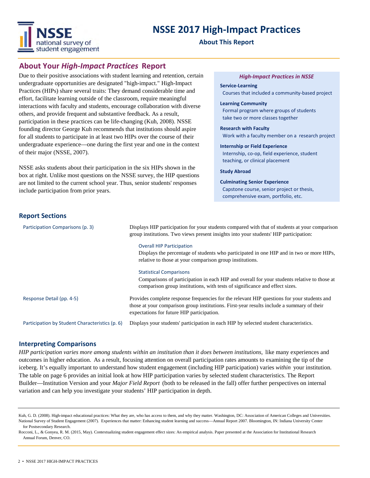

#### **About This Report**

### **About Your** *High-Impact Practices* **Report**

Due to their positive associations with student learning and retention, certain undergraduate opportunities are designated "high-impact." High-Impact Practices (HIPs) share several traits: They demand considerable time and effort, facilitate learning outside of the classroom, require meaningful interactions with faculty and students, encourage collaboration with diverse others, and provide frequent and substantive feedback. As a result, participation in these practices can be life-changing (Kuh, 2008). NSSE founding director George Kuh recommends that institutions should aspire for all students to participate in at least two HIPs over the course of their undergraduate experience—one during the first year and one in the context of their major (NSSE, 2007).

NSSE asks students about their participation in the six HIPs shown in the box at right. Unlike most questions on the NSSE survey, the HIP questions are not limited to the current school year. Thus, senior students' responses include participation from prior years.

#### *High-Impact Practices in NSSE*

**Service-Learning**  Courses that included a community-based project

**Learning Community**  Formal program where groups of students take two or more classes together

**Research with Faculty** Work with a faculty member on a research project

**Internship or Field Experience** Internship, co-op, field experience, student teaching, or clinical placement

**Study Abroad**

**Culminating Senior Experience** Capstone course, senior project or thesis, comprehensive exam, portfolio, etc.

#### **Report Sections**

| Participation Comparisons (p. 3)                | Displays HIP participation for your students compared with that of students at your comparison<br>group institutions. Two views present insights into your students' HIP participation:                                                 |  |  |  |
|-------------------------------------------------|-----------------------------------------------------------------------------------------------------------------------------------------------------------------------------------------------------------------------------------------|--|--|--|
|                                                 | <b>Overall HIP Participation</b><br>Displays the percentage of students who participated in one HIP and in two or more HIPs,<br>relative to those at your comparison group institutions.                                                |  |  |  |
|                                                 | <b>Statistical Comparisons</b><br>Comparisons of participation in each HIP and overall for your students relative to those at<br>comparison group institutions, with tests of significance and effect sizes.                            |  |  |  |
| Response Detail (pp. 4-5)                       | Provides complete response frequencies for the relevant HIP questions for your students and<br>those at your comparison group institutions. First-year results include a summary of their<br>expectations for future HIP participation. |  |  |  |
| Participation by Student Characteristics (p. 6) | Displays your students' participation in each HIP by selected student characteristics.                                                                                                                                                  |  |  |  |

#### **Interpreting Comparisons**

*HIP participation varies more among students within an institution than it does between institutions,* like many experiences and outcomes in higher education. As a result, focusing attention on overall participation rates amounts to examining the tip of the iceberg. It's equally important to understand how student engagement (including HIP participation) varies *within* your institution. The table on page 6 provides an initial look at how HIP participation varies by selected student characteristics. The Report Builder—Institution Version and your *Major Field Report* (both to be released in the fall) offer further perspectives on internal variation and can help you investigate your students' HIP participation in depth.

Kuh, G. D. (2008). High-impact educational practices: What they are, who has access to them, and why they matter. Washington, DC: Association of American Colleges and Universities. National Survey of Student Engagement (2007). Experiences that matter: Enhancing student learning and success—Annual Report 2007. Bloomington, IN: Indiana University Center for Postsecondary Research.

Rocconi, L., & Gonyea, R. M. (2015, May). Contextualizing student engagement effect sizes: An empirical analysis. Paper presented at the Association for Institutional Research Annual Forum, Denver, CO.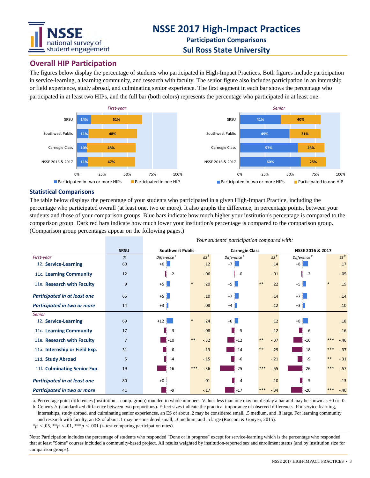

**Participation Comparisons Sul Ross State University**

*Your students' participation compared with:*

### **Overall HIP Participation**

The figures below display the percentage of students who participated in High-Impact Practices. Both figures include participation in service-learning, a learning community, and research with faculty. The senior figure also includes participation in an internship or field experience, study abroad, and culminating senior experience. The first segment in each bar shows the percentage who participated in at least two HIPs, and the full bar (both colors) represents the percentage who participated in at least one.



#### **Statistical Comparisons**

The table below displays the percentage of your students who participated in a given High-Impact Practice, including the percentage who participated overall (at least one, two or more). It also graphs the difference, in percentage points, between your students and those of your comparison groups. Blue bars indicate how much higher your institution's percentage is compared to the comparison group. Dark red bars indicate how much lower your institution's percentage is compared to the comparison group. (Comparison group percentages appear on the following pages.)

|                                     |                | rour students participation compared with: |                 |                         |                 |                         |       |        |  |  |
|-------------------------------------|----------------|--------------------------------------------|-----------------|-------------------------|-----------------|-------------------------|-------|--------|--|--|
|                                     | <b>SRSU</b>    | <b>Southwest Public</b>                    |                 | <b>Carnegie Class</b>   |                 | NSSE 2016 & 2017        |       |        |  |  |
| First-year                          | %              | Difference <sup>a</sup>                    | $ES^b$          | Difference <sup>a</sup> | $ES^b$          | Difference <sup>a</sup> |       | $ES^b$ |  |  |
| 12. Service-Learning                | 60             | $+6$                                       | .12             | $+7$                    | .14             | $+8$                    |       | .17    |  |  |
| 11c. Learning Community             | 12             | $-2$                                       | $-.06$          | $-0$                    | $-.01$          | $-2$                    |       | $-.05$ |  |  |
| 11e. Research with Faculty          | 9              | $+5$                                       | .20             | $+5$                    | $***$<br>.22    | $+5$                    |       | .19    |  |  |
| <b>Participated in at least one</b> | 65             | $+5$                                       | .10             | $+7$                    | .14             | $+7$                    |       | .14    |  |  |
| Participated in two or more         | 14             | $+3$                                       | .08             | $+4$                    | .12             | $+3$                    |       | .10    |  |  |
| <b>Senior</b>                       |                |                                            |                 |                         |                 |                         |       |        |  |  |
| 12. Service-Learning                | 69             | $+12$                                      | .24             | $+6$                    | .12             | $+8$                    |       | .18    |  |  |
| 11c. Learning Community             | 17             | $-3$                                       | $-.08$          | $-5$                    | $-.12$          | $-6$                    |       | $-.16$ |  |  |
| 11e. Research with Faculty          | $\overline{7}$ | $-10$                                      | $***$<br>$-.32$ | $-12$                   | $***$<br>$-.37$ | $-16$                   | ***   | $-.46$ |  |  |
| 11a. Internship or Field Exp.       | 31             | $-6$                                       | $-.13$          | $-14$                   | $***$<br>$-29$  | $-18$                   | ***   | $-.37$ |  |  |
| 11d. Study Abroad                   | 5              | $-4$                                       | $-.15$          | $-6$                    | $-.21$          | $-9$                    | $***$ | $-.31$ |  |  |
| 11f. Culminating Senior Exp.        | 19             | $-16$                                      | ***<br>$-.36$   | $-25$                   | $***$<br>$-55$  | $-26$                   | ***   | $-.57$ |  |  |
| <b>Participated in at least one</b> | 80             | $+0$                                       | .01             | $-4$                    | $-.10$          | $-5$                    |       | $-.13$ |  |  |
| Participated in two or more         | 41             | -9                                         | $-.17$          | $-17$                   | ***<br>$-.34$   | $-20$                   | ***   | $-.40$ |  |  |

a. Percentage point differences (institution – comp. group) rounded to whole numbers. Values less than one may not display a bar and may be shown as +0 or -0.

b. Cohen's *h* (standardized difference between two proportions). Effect sizes indicate the practical importance of observed differences. For service-learning, internships, study abroad, and culminating senior experiences, an ES of about .2 may be considered small, .5 medium, and .8 large. For learning community and research with faculty, an ES of about .1 may be considered small, .3 medium, and .5 large (Rocconi & Gonyea, 2015).

 $*p < .05, **p < .01, ***p < .001$  (*z*-test comparing participation rates).

Note: Participation includes the percentage of students who responded "Done or in progress" except for service-learning which is the percentage who responded that at least "Some" courses included a community-based project. All results weighted by institution-reported sex and enrollment status (and by institution size for comparison groups).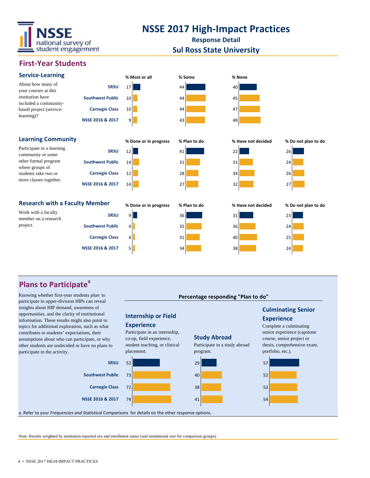

**Response Detail**

### **Sul Ross State University**

**Percentage responding "Plan to do"**

**Culminating Senior** 

**Experience** Complete a culminating senior experience (capstone course, senior project or

**Study Abroad**

### **First-Year Students**



## **Plans to Participate<sup>a</sup>**

Knowing whether first-year students *plan* to participate in upper-division HIPs can reveal insights about HIP demand, awareness of opportunities, and the clarity of institutional information. These results might also point to topics for additional exploration, such as what contributes to students' expectations, their assumptions about who can participate, or why other students are undecided or have no plans to participate in the activity.



**Internship or Field** 

Participate in an internship, co-op, field experience,

**Experience**

Note: Results weighted by institution-reported sex and enrollment status (and institutional size for comparison groups).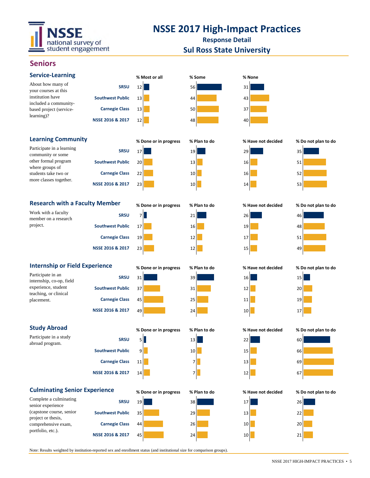

**Response Detail Sul Ross State University**

### **Seniors**

| <b>Service-Learning</b>                                                                                                                              |                         | % Most or all         | % Some       | % None             |                     |
|------------------------------------------------------------------------------------------------------------------------------------------------------|-------------------------|-----------------------|--------------|--------------------|---------------------|
| About how many of<br>your courses at this                                                                                                            | <b>SRSU</b>             | 12                    | 56           | 31                 |                     |
| institution have<br>included a community-<br>based project (service-<br>learning)?                                                                   | <b>Southwest Public</b> | 13                    | 44           | 43                 |                     |
|                                                                                                                                                      | <b>Carnegie Class</b>   | 13                    | 50           | 37                 |                     |
|                                                                                                                                                      | NSSE 2016 & 2017        | 12                    | 48           | 40                 |                     |
| <b>Learning Community</b>                                                                                                                            |                         | % Done or in progress | % Plan to do | % Have not decided | % Do not plan to do |
| Participate in a learning                                                                                                                            | <b>SRSU</b>             | 17                    | 19           | 29                 | 35                  |
| community or some<br>other formal program<br>where groups of                                                                                         | <b>Southwest Public</b> | 20                    | 13           | 16                 | 51                  |
| students take two or                                                                                                                                 | <b>Carnegie Class</b>   | 22                    | 10           | 16                 | 52                  |
| more classes together.                                                                                                                               | NSSE 2016 & 2017        | 23                    | 10           | 14                 | 53                  |
| <b>Research with a Faculty Member</b>                                                                                                                |                         | % Done or in progress | % Plan to do | % Have not decided | % Do not plan to do |
| Work with a faculty<br>member on a research<br>project.                                                                                              | <b>SRSU</b>             | 7                     | 21           | 26                 | 46                  |
|                                                                                                                                                      | <b>Southwest Public</b> | 17                    | 16           | 19                 | 48                  |
|                                                                                                                                                      | <b>Carnegie Class</b>   | 19                    | 12           | 17                 | 51                  |
|                                                                                                                                                      | NSSE 2016 & 2017        | 23                    | 12           | 15                 | 49                  |
|                                                                                                                                                      |                         | % Done or in progress | % Plan to do | % Have not decided | % Do not plan to do |
| <b>Internship or Field Experience</b><br>Participate in an<br>internship, co-op, field<br>experience, student<br>teaching, or clinical<br>placement. | <b>SRSU</b>             | 31                    | 39           | 16                 | 15                  |
|                                                                                                                                                      | <b>Southwest Public</b> | 37                    | 31           | 12                 | 20                  |
|                                                                                                                                                      | <b>Carnegie Class</b>   | 45                    | 25           | 11                 | 19                  |
|                                                                                                                                                      | NSSE 2016 & 2017        | 49                    | 24           | 10                 | 17                  |
| <b>Study Abroad</b>                                                                                                                                  |                         | % Done or in progress | % Plan to do | % Have not decided | % Do not plan to do |
| Participate in a study<br>abroad program.                                                                                                            | <b>SRSU</b>             | 5                     | 13           | 22                 | 60                  |
|                                                                                                                                                      | <b>Southwest Public</b> | 9                     | 10           | 15                 | 66                  |
|                                                                                                                                                      | <b>Carnegie Class</b>   | 11                    | 7            | 13                 | 69                  |
|                                                                                                                                                      | NSSE 2016 & 2017        | 14                    | 7            | 12                 | 67                  |
| <b>Culminating Senior Experience</b>                                                                                                                 |                         | % Done or in progress | % Plan to do | % Have not decided | % Do not plan to do |
| Complete a culminating<br>senior experience<br>(capstone course, senior<br>project or thesis,<br>comprehensive exam,<br>portfolio, etc.).            | <b>SRSU</b>             | 19                    | 38           | 17                 | 26                  |
|                                                                                                                                                      | <b>Southwest Public</b> | 35                    | 29           | 13                 | 22                  |
|                                                                                                                                                      | <b>Carnegie Class</b>   | 44                    | 26           | 10                 | 20                  |
|                                                                                                                                                      | NSSE 2016 & 2017        | 45                    | 24           | 10                 | 21                  |

Note: Results weighted by institution-reported sex and enrollment status (and institutional size for comparison groups).